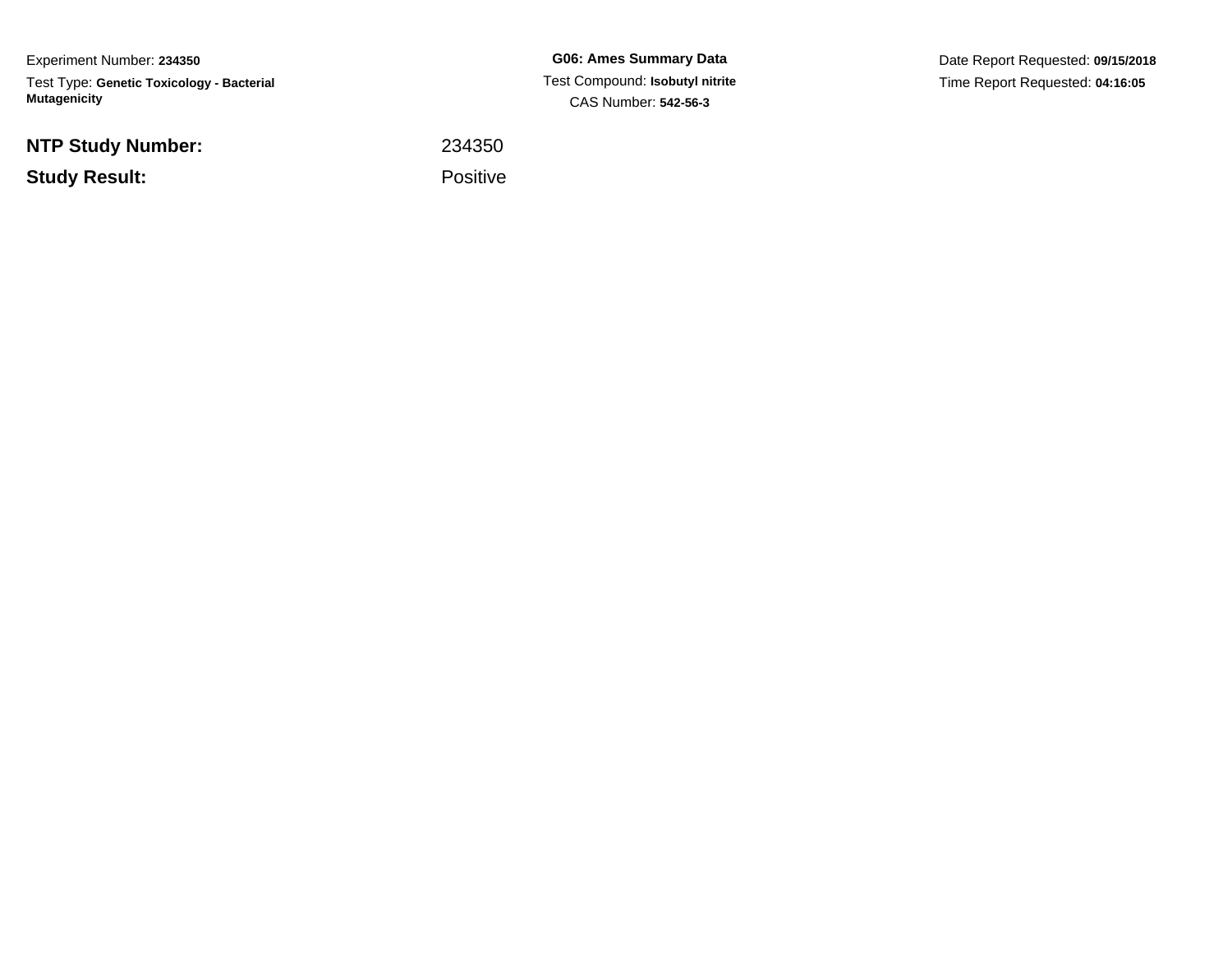Experiment Number: **234350**Test Type: **Genetic Toxicology - Bacterial Mutagenicity**

**NTP Study Number:**

**Study Result:**

**G06: Ames Summary Data** Test Compound: **Isobutyl nitrite**CAS Number: **542-56-3**

Date Report Requested: **09/15/2018**Time Report Requested: **04:16:05**

 <sup>234350</sup>Positive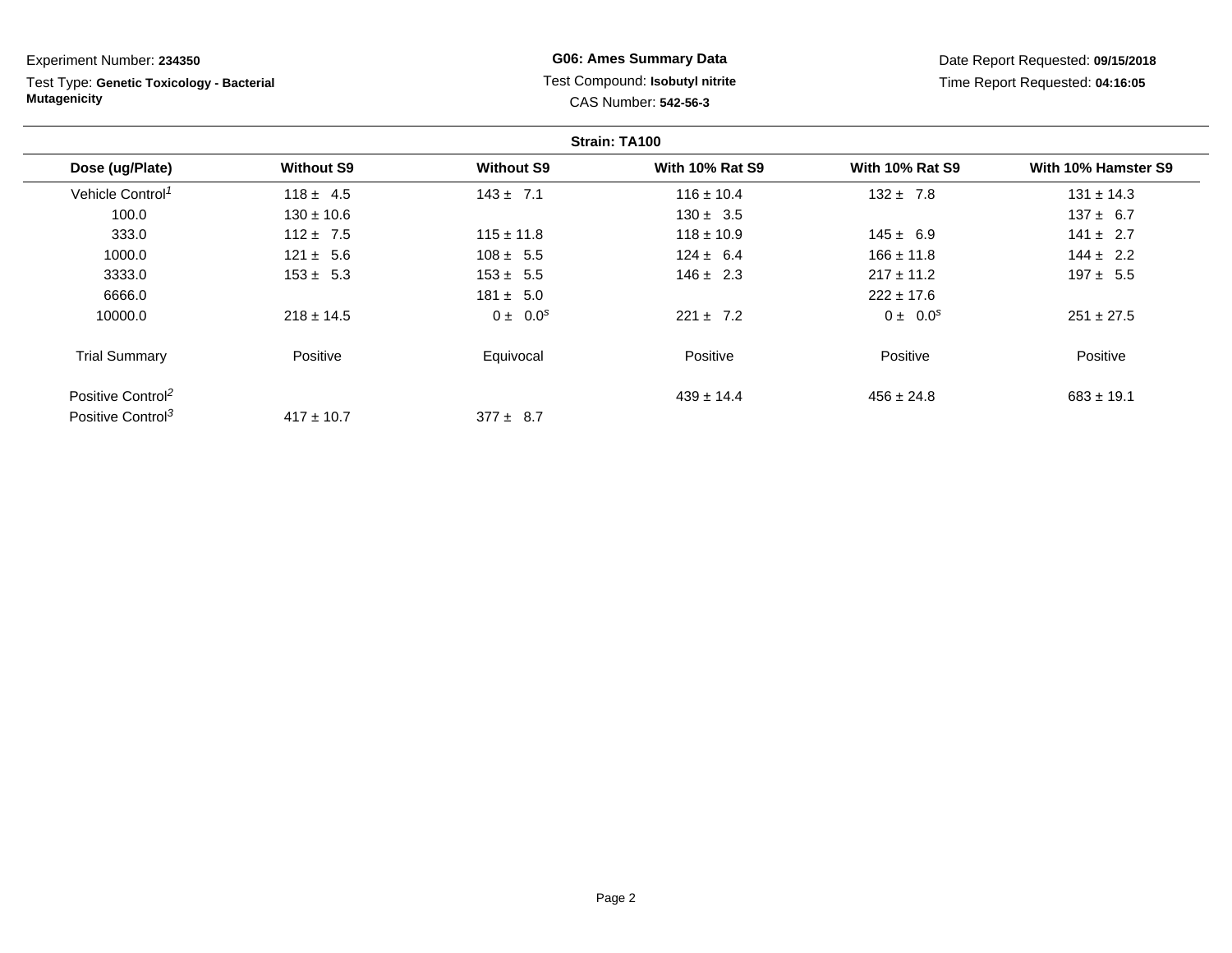Test Type: **Genetic Toxicology - Bacterial Mutagenicity**

# **G06: Ames Summary Data** Test Compound: **Isobutyl nitrite**CAS Number: **542-56-3**

Date Report Requested: **09/15/2018**Time Report Requested: **04:16:05**

| Strain: TA100                 |                   |                   |                        |                        |                     |
|-------------------------------|-------------------|-------------------|------------------------|------------------------|---------------------|
| Dose (ug/Plate)               | <b>Without S9</b> | <b>Without S9</b> | <b>With 10% Rat S9</b> | <b>With 10% Rat S9</b> | With 10% Hamster S9 |
| Vehicle Control <sup>1</sup>  | $118 \pm 4.5$     | $143 \pm 7.1$     | $116 \pm 10.4$         | $132 \pm 7.8$          | $131 \pm 14.3$      |
| 100.0                         | $130 \pm 10.6$    |                   | $130 \pm 3.5$          |                        | $137 \pm 6.7$       |
| 333.0                         | $112 \pm 7.5$     | $115 \pm 11.8$    | $118 \pm 10.9$         | $145 \pm 6.9$          | $141 \pm 2.7$       |
| 1000.0                        | $121 \pm 5.6$     | $108 \pm 5.5$     | $124 \pm 6.4$          | $166 \pm 11.8$         | $144 \pm 2.2$       |
| 3333.0                        | $153 \pm 5.3$     | $153 \pm 5.5$     | $146 \pm 2.3$          | $217 \pm 11.2$         | $197 \pm 5.5$       |
| 6666.0                        |                   | $181 \pm 5.0$     |                        | $222 \pm 17.6$         |                     |
| 10000.0                       | $218 \pm 14.5$    | $0 \pm 0.0^s$     | $221 \pm 7.2$          | $0 \pm 0.0^s$          | $251 \pm 27.5$      |
| <b>Trial Summary</b>          | Positive          | Equivocal         | Positive               | Positive               | Positive            |
| Positive Control <sup>2</sup> |                   |                   | $439 \pm 14.4$         | $456 \pm 24.8$         | $683 \pm 19.1$      |
| Positive Control <sup>3</sup> | $417 \pm 10.7$    | $377 \pm 8.7$     |                        |                        |                     |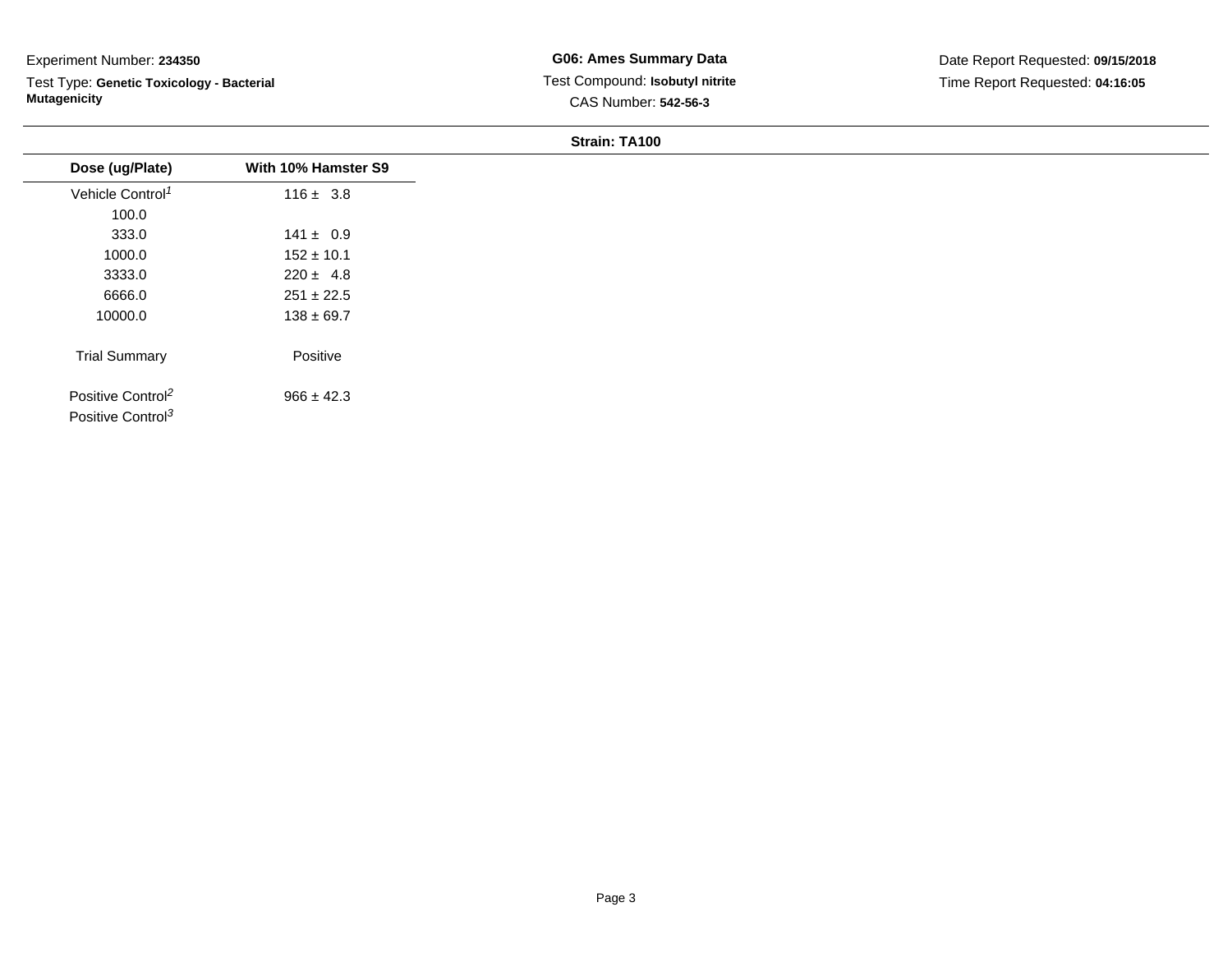Test Type: **Genetic Toxicology - Bacterial Mutagenicity**

### **Strain: TA100**

| Dose (ug/Plate)               | With 10% Hamster S9 |
|-------------------------------|---------------------|
| Vehicle Control <sup>1</sup>  | $116 \pm 3.8$       |
| 100.0                         |                     |
| 333.0                         | $141 \pm 0.9$       |
| 1000.0                        | $152 \pm 10.1$      |
| 3333.0                        | $220 \pm 4.8$       |
| 6666.0                        | $251 \pm 22.5$      |
| 10000.0                       | $138 \pm 69.7$      |
|                               | Positive            |
| <b>Trial Summary</b>          |                     |
| Positive Control <sup>2</sup> | $966 \pm 42.3$      |
| Positive Control <sup>3</sup> |                     |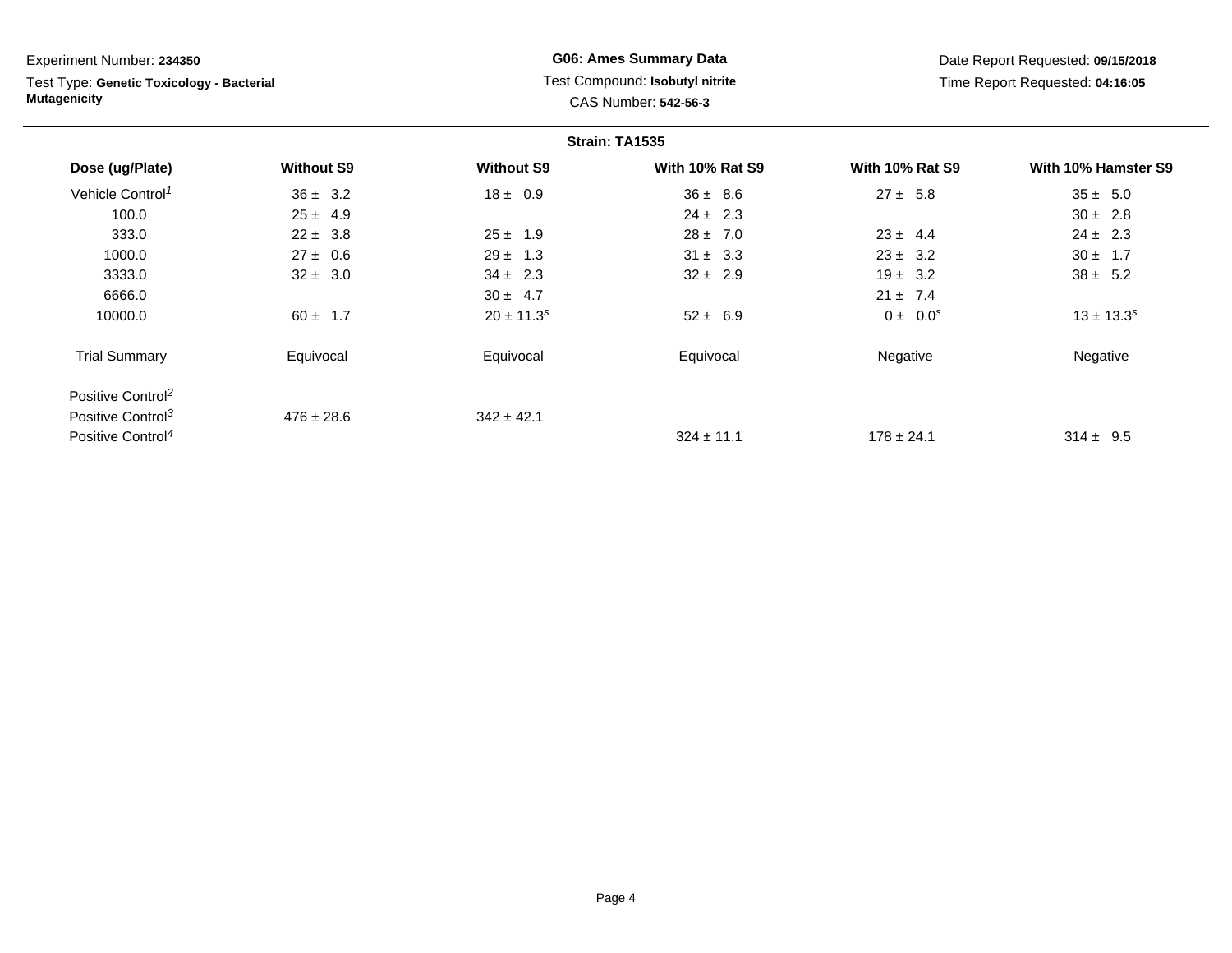Test Type: **Genetic Toxicology - Bacterial Mutagenicity**

# **G06: Ames Summary Data** Test Compound: **Isobutyl nitrite**CAS Number: **542-56-3**

Date Report Requested: **09/15/2018**Time Report Requested: **04:16:05**

| Strain: TA1535                |                   |                   |                        |                        |                     |
|-------------------------------|-------------------|-------------------|------------------------|------------------------|---------------------|
| Dose (ug/Plate)               | <b>Without S9</b> | <b>Without S9</b> | <b>With 10% Rat S9</b> | <b>With 10% Rat S9</b> | With 10% Hamster S9 |
| Vehicle Control <sup>1</sup>  | $36 \pm 3.2$      | $18 \pm 0.9$      | $36 \pm 8.6$           | $27 \pm 5.8$           | $35 \pm 5.0$        |
| 100.0                         | $25 \pm 4.9$      |                   | $24 \pm 2.3$           |                        | $30 \pm 2.8$        |
| 333.0                         | $22 \pm 3.8$      | $25 \pm 1.9$      | $28 \pm 7.0$           | $23 \pm 4.4$           | $24 \pm 2.3$        |
| 1000.0                        | $27 \pm 0.6$      | $29 \pm 1.3$      | $31 \pm 3.3$           | $23 \pm 3.2$           | $30 \pm 1.7$        |
| 3333.0                        | $32 \pm 3.0$      | $34 \pm 2.3$      | $32 \pm 2.9$           | $19 \pm 3.2$           | $38 \pm 5.2$        |
| 6666.0                        |                   | $30 \pm 4.7$      |                        | $21 \pm 7.4$           |                     |
| 10000.0                       | $60 \pm 1.7$      | $20 \pm 11.3^s$   | $52 \pm 6.9$           | $0 \pm 0.0^s$          | $13 \pm 13.3^s$     |
| <b>Trial Summary</b>          | Equivocal         | Equivocal         | Equivocal              | Negative               | Negative            |
| Positive Control <sup>2</sup> |                   |                   |                        |                        |                     |
| Positive Control <sup>3</sup> | $476 \pm 28.6$    | $342 \pm 42.1$    |                        |                        |                     |
| Positive Control <sup>4</sup> |                   |                   | $324 \pm 11.1$         | $178 \pm 24.1$         | $314 \pm 9.5$       |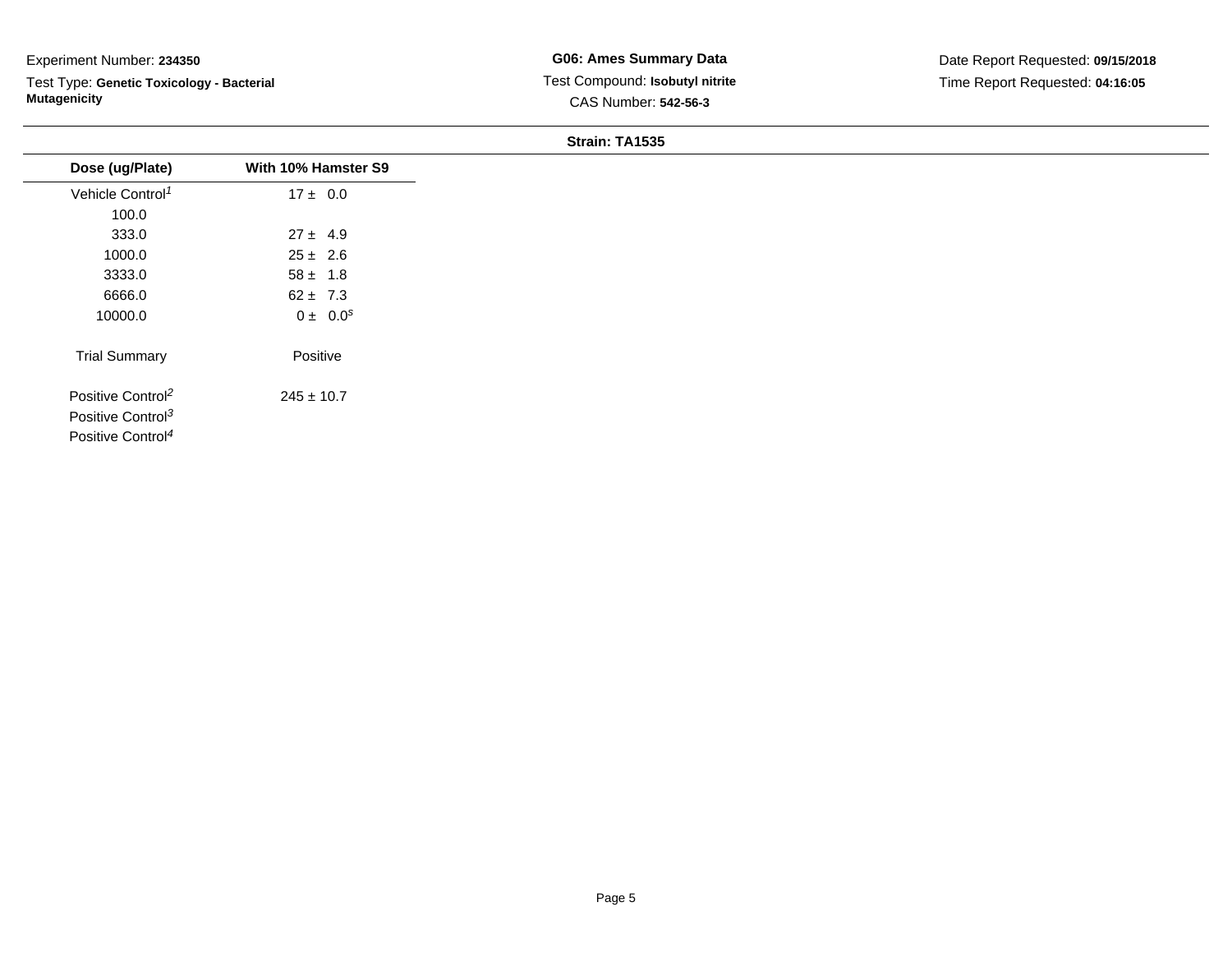Test Type: **Genetic Toxicology - Bacterial Mutagenicity**

### **Strain: TA1535**

| Dose (ug/Plate)               | With 10% Hamster S9 |
|-------------------------------|---------------------|
| Vehicle Control <sup>1</sup>  | $17 \pm 0.0$        |
| 100.0                         |                     |
| 333.0                         | $27 \pm 4.9$        |
| 1000.0                        | $25 \pm 2.6$        |
| 3333.0                        | $58 \pm 1.8$        |
| 6666.0                        | $62 \pm 7.3$        |
| 10000.0                       | $0 \pm 0.0^s$       |
| <b>Trial Summary</b>          | Positive            |
| Positive Control <sup>2</sup> | $245 \pm 10.7$      |
| Positive Control <sup>3</sup> |                     |
| Positive Control <sup>4</sup> |                     |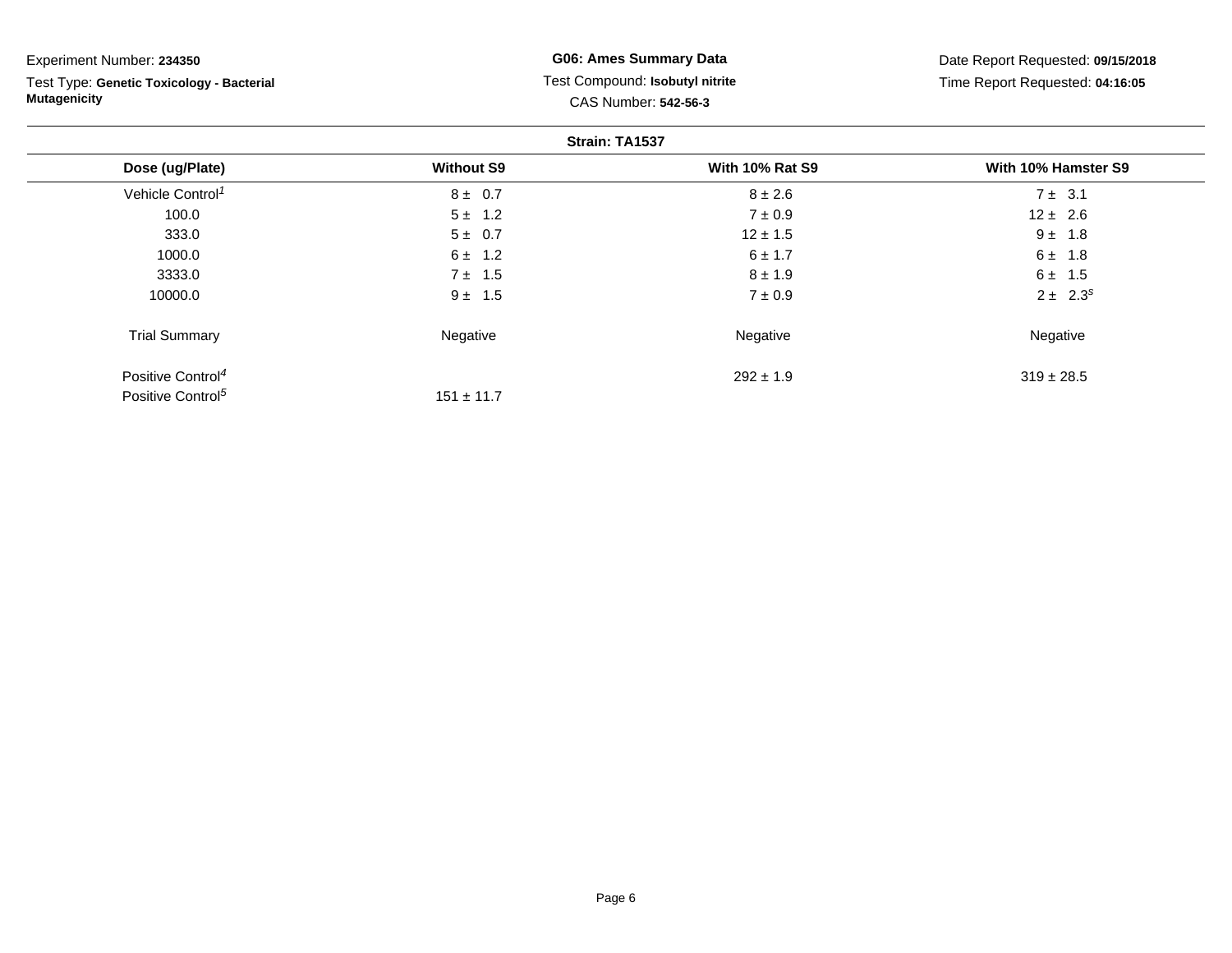| Experiment Number: 234350                 | <b>G06: Ames Summary Data</b>   | Date Report Requested: 09/15/2018 |                     |  |
|-------------------------------------------|---------------------------------|-----------------------------------|---------------------|--|
| Test Type: Genetic Toxicology - Bacterial | Test Compound: Isobutyl nitrite | Time Report Requested: 04:16:05   |                     |  |
| <b>Mutagenicity</b>                       |                                 | CAS Number: 542-56-3              |                     |  |
|                                           |                                 | Strain: TA1537                    |                     |  |
| Dose (ug/Plate)                           | <b>Without S9</b>               | <b>With 10% Rat S9</b>            | With 10% Hamster S9 |  |
| Vehicle Control <sup>1</sup>              | $8 \pm 0.7$                     | $8 \pm 2.6$                       | $7 \pm 3.1$         |  |
| 100.0                                     | $5 \pm 1.2$                     | $7 \pm 0.9$                       | $12 \pm 2.6$        |  |
| 333.0                                     | $5 \pm 0.7$                     | $12 \pm 1.5$                      | $9 \pm 1.8$         |  |
| 1000.0                                    | $6 \pm 1.2$                     | $6 \pm 1.7$                       | $6 \pm 1.8$         |  |
| 3333.0                                    | $7 \pm 1.5$                     | $8 \pm 1.9$                       | $6 \pm 1.5$         |  |
| 10000.0                                   | $9 \pm 1.5$                     | $7 \pm 0.9$                       | $2 \pm 2.3^s$       |  |
| <b>Trial Summary</b>                      | Negative                        | Negative                          | Negative            |  |
| Positive Control <sup>4</sup>             |                                 | $292 \pm 1.9$                     | $319 \pm 28.5$      |  |
| Positive Control <sup>5</sup>             | $151 \pm 11.7$                  |                                   |                     |  |

Page 6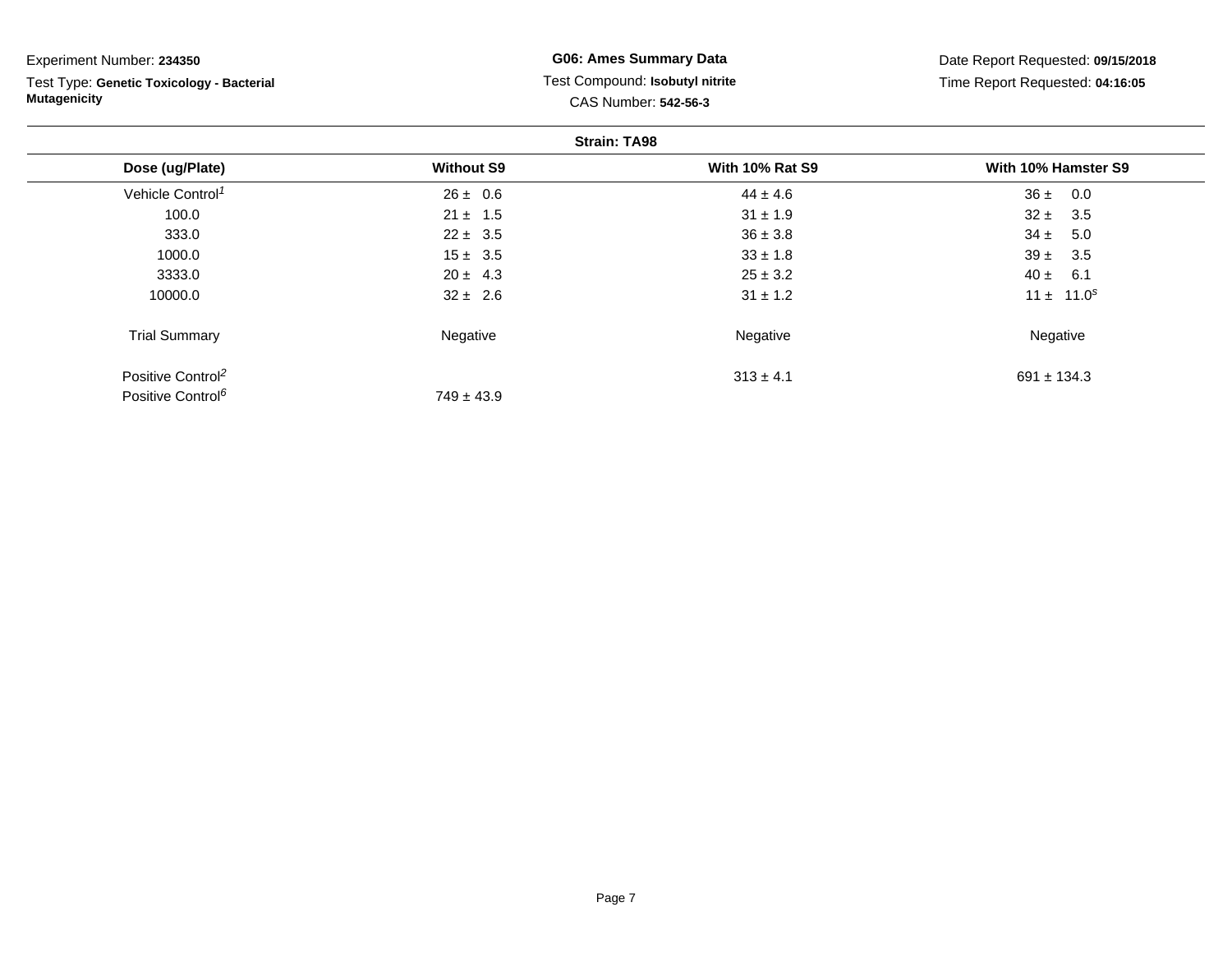| Experiment Number: 234350                 | <b>G06: Ames Summary Data</b>   | Date Report Requested: 09/15/2018 |                     |  |  |  |
|-------------------------------------------|---------------------------------|-----------------------------------|---------------------|--|--|--|
| Test Type: Genetic Toxicology - Bacterial | Test Compound: Isobutyl nitrite | Time Report Requested: 04:16:05   |                     |  |  |  |
| <b>Mutagenicity</b>                       | CAS Number: 542-56-3            |                                   |                     |  |  |  |
| <b>Strain: TA98</b>                       |                                 |                                   |                     |  |  |  |
| Dose (ug/Plate)                           | <b>Without S9</b>               | <b>With 10% Rat S9</b>            | With 10% Hamster S9 |  |  |  |
| Vehicle Control <sup>1</sup>              | $26 \pm 0.6$                    | $44 \pm 4.6$                      | $36 \pm 0.0$        |  |  |  |
| 100.0                                     | $21 \pm 1.5$                    | $31 \pm 1.9$                      | $32 \pm 3.5$        |  |  |  |
| 333.0                                     | $22 \pm 3.5$                    | $36 \pm 3.8$                      | $34 \pm 5.0$        |  |  |  |
| 1000.0                                    | $15 \pm 3.5$                    | $33 \pm 1.8$                      | $39 \pm 3.5$        |  |  |  |
| 3333.0                                    | $20 \pm 4.3$                    | $25 \pm 3.2$                      | $40 \pm 6.1$        |  |  |  |
| 10000.0                                   | $32 \pm 2.6$                    | $31 \pm 1.2$                      | $11 \pm 11.0^s$     |  |  |  |
| <b>Trial Summary</b>                      | Negative                        | Negative                          | Negative            |  |  |  |
| Positive Control <sup>2</sup>             |                                 | $313 \pm 4.1$                     | $691 \pm 134.3$     |  |  |  |
| Positive Control <sup>6</sup>             | $749 \pm 43.9$                  |                                   |                     |  |  |  |